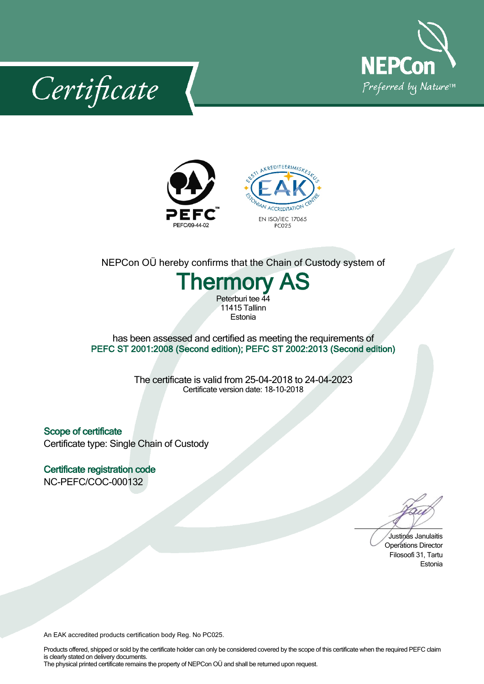

Certificate



## NEPCon OÜ hereby confirms that the Chain of Custody system of

# **Thermory AS** Peterburi tee 44 11415 Tallinn

Estonia

#### has been assessed and certified as meeting the requirements of **PEFC ST 2001:2008 (Second edition); PEFC ST 2002:2013 (Second edition)**

The certificate is valid from 25-04-2018 to 24-04-2023 Certificate version date: 18-10-2018

**Scope of certificate** Certificate type: Single Chain of Custody

**Certificate registration code** NC-PEFC/COC-000132

Justinas Janulaitis Operations Director Filosoofi 31, Tartu Estonia

An EAK accredited products certification body Reg. No PC025.

Products offered, shipped or sold by the certificate holder can only be considered covered by the scope of this certificate when the required PEFC claim is clearly stated on delivery documents. The physical printed certificate remains the property of NEPCon OÜ and shall be returned upon request.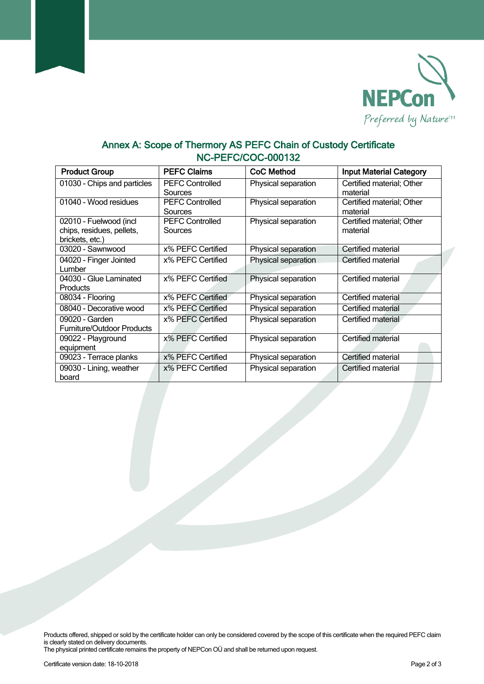

## **Annex A: Scope of Thermory AS PEFC Chain of Custody Certificate NC-PEFC/COC-000132**

| <b>Product Group</b>                                                   | <b>PEFC Claims</b>                | <b>CoC Method</b>   | <b>Input Material Category</b>        |
|------------------------------------------------------------------------|-----------------------------------|---------------------|---------------------------------------|
| 01030 - Chips and particles                                            | <b>PEFC Controlled</b><br>Sources | Physical separation | Certified material; Other<br>material |
| 01040 - Wood residues                                                  | <b>PEFC Controlled</b><br>Sources | Physical separation | Certified material; Other<br>material |
| 02010 - Fuelwood (incl<br>chips, residues, pellets,<br>brickets, etc.) | <b>PEFC Controlled</b><br>Sources | Physical separation | Certified material; Other<br>material |
| 03020 - Sawnwood                                                       | x% PEFC Certified                 | Physical separation | Certified material                    |
| 04020 - Finger Jointed<br>Lumber                                       | x% PEFC Certified                 | Physical separation | Certified material                    |
| 04030 - Glue Laminated<br><b>Products</b>                              | x% PEFC Certified                 | Physical separation | Certified material                    |
| 08034 - Flooring                                                       | x% PEFC Certified                 | Physical separation | Certified material                    |
| 08040 - Decorative wood                                                | x% PEFC Certified                 | Physical separation | Certified material                    |
| 09020 - Garden<br><b>Furniture/Outdoor Products</b>                    | x% PEFC Certified                 | Physical separation | Certified material                    |
| 09022 - Playground<br>equipment                                        | x% PEFC Certified                 | Physical separation | Certified material                    |
| 09023 - Terrace planks                                                 | x% PEFC Certified                 | Physical separation | Certified material                    |
| 09030 - Lining, weather<br>board                                       | x% PEFC Certified                 | Physical separation | Certified material                    |

Products offered, shipped or sold by the certificate holder can only be considered covered by the scope of this certificate when the required PEFC claim is clearly stated on delivery documents.

The physical printed certificate remains the property of NEPCon OÜ and shall be returned upon request.